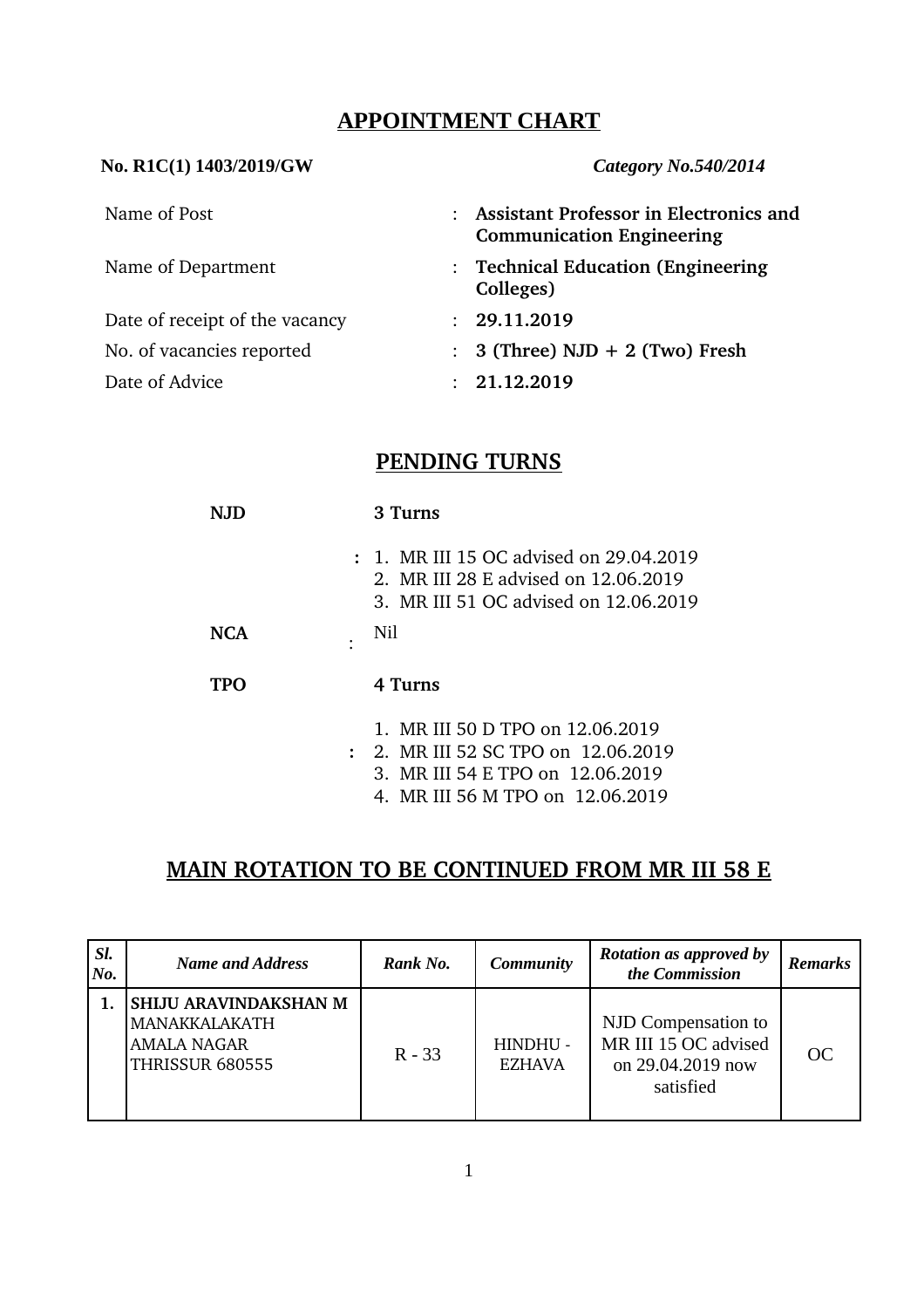# **APPOINTMENT CHART**

### **No. R1C(1) 1403/2019/GW** *Category No.540/2014*

| Name of Post                   | <b>Assistant Professor in Electronics and</b><br><b>Communication Engineering</b> |
|--------------------------------|-----------------------------------------------------------------------------------|
| Name of Department             | : Technical Education (Engineering<br>Colleges)                                   |
| Date of receipt of the vacancy | : 29.11.2019                                                                      |
| No. of vacancies reported      | $\therefore$ 3 (Three) NJD + 2 (Two) Fresh                                        |
| Date of Advice                 | 21.12.2019                                                                        |

## **PENDING TURNS**

| N.ID | 3 Turns                                                                                                                  |
|------|--------------------------------------------------------------------------------------------------------------------------|
|      | : 1. MR III 15 OC advised on 29.04.2019<br>2. MR III 28 E advised on 12.06.2019<br>3. MR III 51 OC advised on 12.06.2019 |
| NCA  | Nil                                                                                                                      |
| TPO  | 4 Turns                                                                                                                  |
|      | 1. MR III 50 D TPO on 12.06.2019                                                                                         |
|      | $\therefore$ 2. MR III 52 SC TPO on 12.06.2019                                                                           |
|      | 3. MR III 54 E TPO on 12.06.2019                                                                                         |
|      | 4. MR III 56 M TPO on 12.06.2019                                                                                         |

# **MAIN ROTATION TO BE CONTINUED FROM MR III 58 E**

| SI.<br>No. | <b>Name and Address</b>                                                                       | Rank No. | <b>Community</b>          | <b>Rotation as approved by</b><br>the Commission                              | <b>Remarks</b> |
|------------|-----------------------------------------------------------------------------------------------|----------|---------------------------|-------------------------------------------------------------------------------|----------------|
|            | <b>SHIJU ARAVINDAKSHAN M</b><br><b>MANAKKALAKATH</b><br><b>AMALA NAGAR</b><br>THRISSUR 680555 | $R - 33$ | HINDHU -<br><b>EZHAVA</b> | NJD Compensation to<br>MR III 15 OC advised<br>on 29.04.2019 now<br>satisfied | OC             |